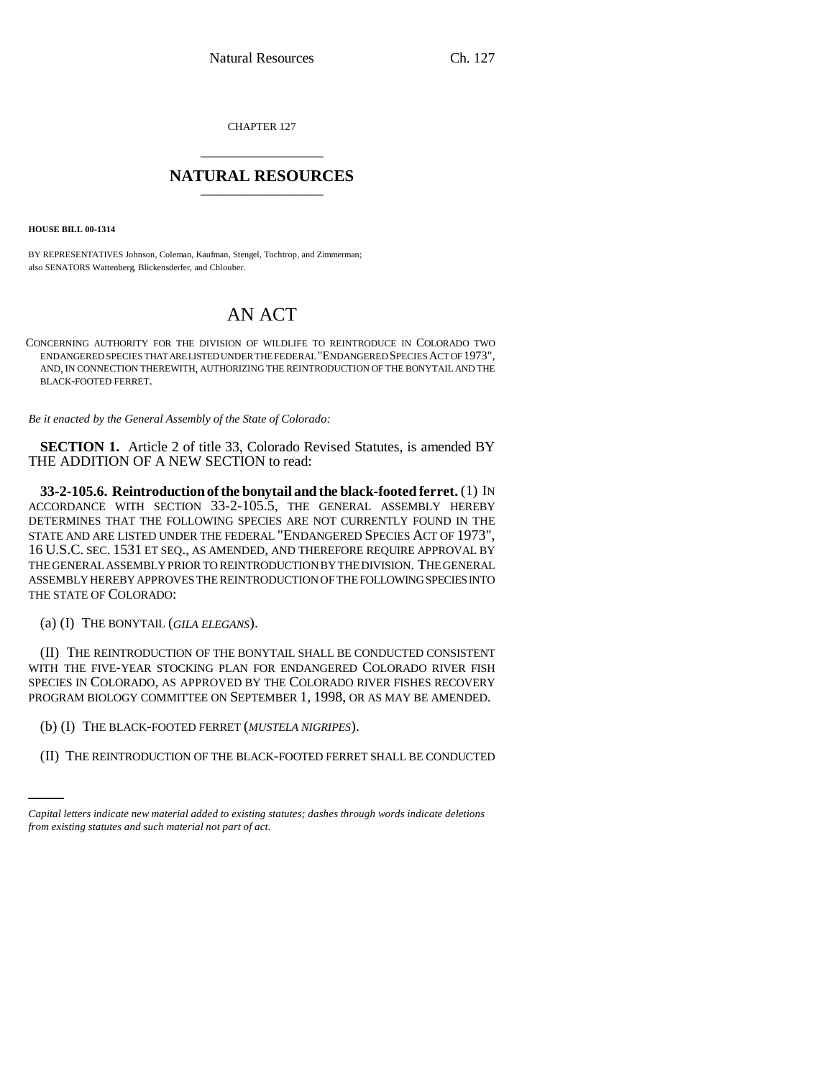CHAPTER 127 \_\_\_\_\_\_\_\_\_\_\_\_\_\_\_

## **NATURAL RESOURCES** \_\_\_\_\_\_\_\_\_\_\_\_\_\_\_

**HOUSE BILL 00-1314** 

BY REPRESENTATIVES Johnson, Coleman, Kaufman, Stengel, Tochtrop, and Zimmerman; also SENATORS Wattenberg, Blickensderfer, and Chlouber.

## AN ACT

CONCERNING AUTHORITY FOR THE DIVISION OF WILDLIFE TO REINTRODUCE IN COLORADO TWO ENDANGERED SPECIES THAT ARE LISTED UNDER THE FEDERAL "ENDANGERED SPECIES ACT OF 1973", AND, IN CONNECTION THEREWITH, AUTHORIZING THE REINTRODUCTION OF THE BONYTAIL AND THE BLACK-FOOTED FERRET.

*Be it enacted by the General Assembly of the State of Colorado:*

**SECTION 1.** Article 2 of title 33, Colorado Revised Statutes, is amended BY THE ADDITION OF A NEW SECTION to read:

**33-2-105.6. Reintroduction of the bonytail and the black-footed ferret.** (1) IN ACCORDANCE WITH SECTION 33-2-105.5, THE GENERAL ASSEMBLY HEREBY DETERMINES THAT THE FOLLOWING SPECIES ARE NOT CURRENTLY FOUND IN THE STATE AND ARE LISTED UNDER THE FEDERAL "ENDANGERED SPECIES ACT OF 1973", 16 U.S.C. SEC. 1531 ET SEQ., AS AMENDED, AND THEREFORE REQUIRE APPROVAL BY THE GENERAL ASSEMBLY PRIOR TO REINTRODUCTION BY THE DIVISION. THE GENERAL ASSEMBLY HEREBY APPROVES THE REINTRODUCTION OF THE FOLLOWING SPECIES INTO THE STATE OF COLORADO:

(a) (I) THE BONYTAIL (*GILA ELEGANS*).

(II) THE REINTRODUCTION OF THE BONYTAIL SHALL BE CONDUCTED CONSISTENT WITH THE FIVE-YEAR STOCKING PLAN FOR ENDANGERED COLORADO RIVER FISH SPECIES IN COLORADO, AS APPROVED BY THE COLORADO RIVER FISHES RECOVERY PROGRAM BIOLOGY COMMITTEE ON SEPTEMBER 1, 1998, OR AS MAY BE AMENDED.

(b) (I) THE BLACK-FOOTED FERRET (*MUSTELA NIGRIPES*).

(II) THE REINTRODUCTION OF THE BLACK-FOOTED FERRET SHALL BE CONDUCTED

*Capital letters indicate new material added to existing statutes; dashes through words indicate deletions from existing statutes and such material not part of act.*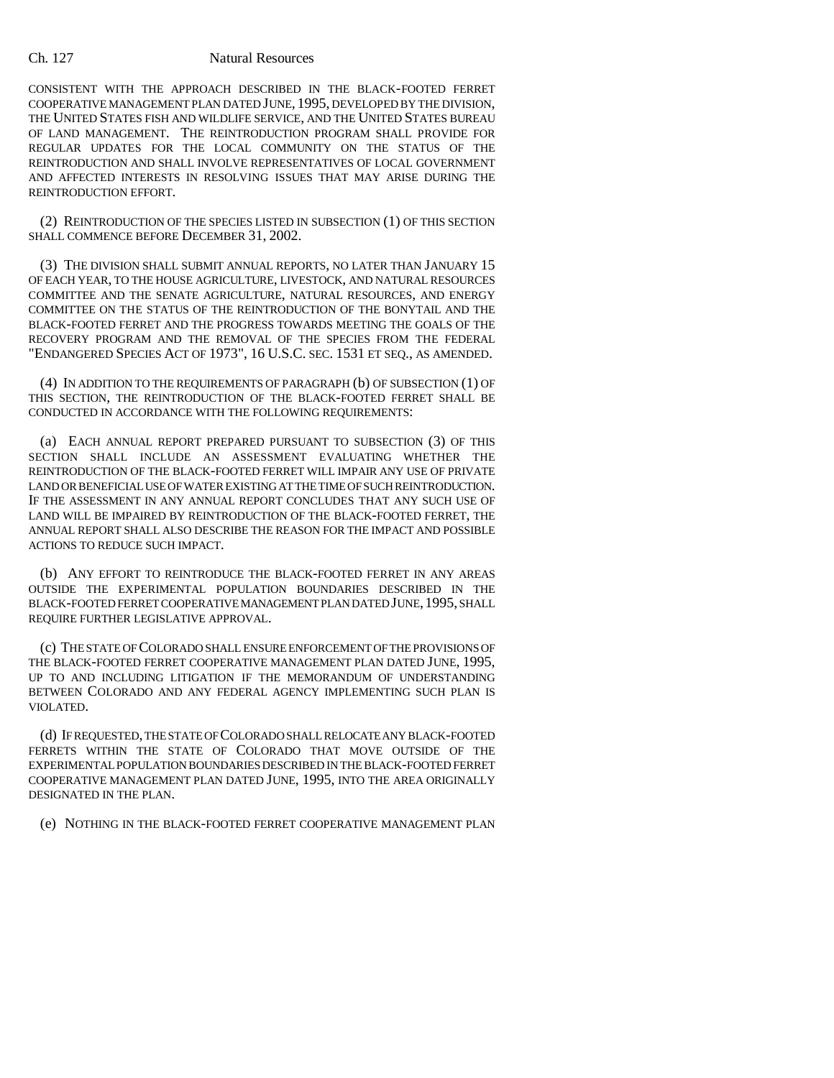## Ch. 127 Natural Resources

CONSISTENT WITH THE APPROACH DESCRIBED IN THE BLACK-FOOTED FERRET COOPERATIVE MANAGEMENT PLAN DATED JUNE, 1995, DEVELOPED BY THE DIVISION, THE UNITED STATES FISH AND WILDLIFE SERVICE, AND THE UNITED STATES BUREAU OF LAND MANAGEMENT. THE REINTRODUCTION PROGRAM SHALL PROVIDE FOR REGULAR UPDATES FOR THE LOCAL COMMUNITY ON THE STATUS OF THE REINTRODUCTION AND SHALL INVOLVE REPRESENTATIVES OF LOCAL GOVERNMENT AND AFFECTED INTERESTS IN RESOLVING ISSUES THAT MAY ARISE DURING THE REINTRODUCTION EFFORT.

(2) REINTRODUCTION OF THE SPECIES LISTED IN SUBSECTION (1) OF THIS SECTION SHALL COMMENCE BEFORE DECEMBER 31, 2002.

(3) THE DIVISION SHALL SUBMIT ANNUAL REPORTS, NO LATER THAN JANUARY 15 OF EACH YEAR, TO THE HOUSE AGRICULTURE, LIVESTOCK, AND NATURAL RESOURCES COMMITTEE AND THE SENATE AGRICULTURE, NATURAL RESOURCES, AND ENERGY COMMITTEE ON THE STATUS OF THE REINTRODUCTION OF THE BONYTAIL AND THE BLACK-FOOTED FERRET AND THE PROGRESS TOWARDS MEETING THE GOALS OF THE RECOVERY PROGRAM AND THE REMOVAL OF THE SPECIES FROM THE FEDERAL "ENDANGERED SPECIES ACT OF 1973", 16 U.S.C. SEC. 1531 ET SEQ., AS AMENDED.

(4) IN ADDITION TO THE REQUIREMENTS OF PARAGRAPH (b) OF SUBSECTION (1) OF THIS SECTION, THE REINTRODUCTION OF THE BLACK-FOOTED FERRET SHALL BE CONDUCTED IN ACCORDANCE WITH THE FOLLOWING REQUIREMENTS:

(a) EACH ANNUAL REPORT PREPARED PURSUANT TO SUBSECTION (3) OF THIS SECTION SHALL INCLUDE AN ASSESSMENT EVALUATING WHETHER THE REINTRODUCTION OF THE BLACK-FOOTED FERRET WILL IMPAIR ANY USE OF PRIVATE LAND OR BENEFICIAL USE OF WATER EXISTING AT THE TIME OF SUCH REINTRODUCTION. IF THE ASSESSMENT IN ANY ANNUAL REPORT CONCLUDES THAT ANY SUCH USE OF LAND WILL BE IMPAIRED BY REINTRODUCTION OF THE BLACK-FOOTED FERRET, THE ANNUAL REPORT SHALL ALSO DESCRIBE THE REASON FOR THE IMPACT AND POSSIBLE ACTIONS TO REDUCE SUCH IMPACT.

(b) ANY EFFORT TO REINTRODUCE THE BLACK-FOOTED FERRET IN ANY AREAS OUTSIDE THE EXPERIMENTAL POPULATION BOUNDARIES DESCRIBED IN THE BLACK-FOOTED FERRET COOPERATIVE MANAGEMENT PLAN DATED JUNE,1995, SHALL REQUIRE FURTHER LEGISLATIVE APPROVAL.

(c) THE STATE OF COLORADO SHALL ENSURE ENFORCEMENT OF THE PROVISIONS OF THE BLACK-FOOTED FERRET COOPERATIVE MANAGEMENT PLAN DATED JUNE, 1995, UP TO AND INCLUDING LITIGATION IF THE MEMORANDUM OF UNDERSTANDING BETWEEN COLORADO AND ANY FEDERAL AGENCY IMPLEMENTING SUCH PLAN IS VIOLATED.

(d) IF REQUESTED, THE STATE OF COLORADO SHALL RELOCATE ANY BLACK-FOOTED FERRETS WITHIN THE STATE OF COLORADO THAT MOVE OUTSIDE OF THE EXPERIMENTAL POPULATION BOUNDARIES DESCRIBED IN THE BLACK-FOOTED FERRET COOPERATIVE MANAGEMENT PLAN DATED JUNE, 1995, INTO THE AREA ORIGINALLY DESIGNATED IN THE PLAN.

(e) NOTHING IN THE BLACK-FOOTED FERRET COOPERATIVE MANAGEMENT PLAN